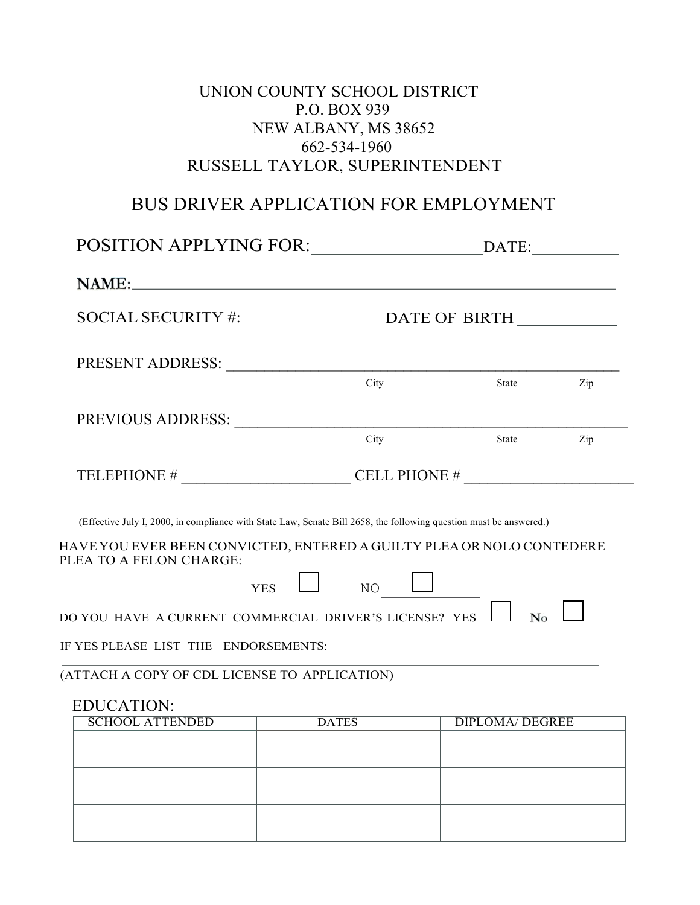## UNION COUNTY SCHOOL DISTRICT P.O. BOX 939 NEW ALBANY, MS 38652 662-534-1960 RUSSELL TAYLOR, SUPERINTENDENT

# BUS DRIVER APPLICATION FOR EMPLOYMENT

| PRESENT ADDRESS: University of the Second Present and Present and Present and Present and Present and Present                                                                               |              |                        |     |  |
|---------------------------------------------------------------------------------------------------------------------------------------------------------------------------------------------|--------------|------------------------|-----|--|
|                                                                                                                                                                                             | City         | State                  | Zip |  |
|                                                                                                                                                                                             |              |                        |     |  |
|                                                                                                                                                                                             | City         | State                  | Zip |  |
| TELEPHONE $\#$ CELL PHONE $\#$                                                                                                                                                              |              |                        |     |  |
| (Effective July I, 2000, in compliance with State Law, Senate Bill 2658, the following question must be answered.)<br>HAVE YOU EVER BEEN CONVICTED, ENTERED A GUILTY PLEA OR NOLO CONTEDERE |              |                        |     |  |
| PLEA TO A FELON CHARGE:<br>YES                                                                                                                                                              | $\Box$ NO    |                        |     |  |
| DO YOU HAVE A CURRENT COMMERCIAL DRIVER'S LICENSE? YES $\Box$                                                                                                                               |              | $\bf No$               |     |  |
| IF YES PLEASE LIST THE ENDORSEMENTS:                                                                                                                                                        |              |                        |     |  |
| (ATTACH A COPY OF CDL LICENSE TO APPLICATION)                                                                                                                                               |              |                        |     |  |
| <b>EDUCATION:</b>                                                                                                                                                                           |              |                        |     |  |
| <b>SCHOOL ATTENDED</b>                                                                                                                                                                      | <b>DATES</b> | <b>DIPLOMA/ DEGREE</b> |     |  |
|                                                                                                                                                                                             |              |                        |     |  |